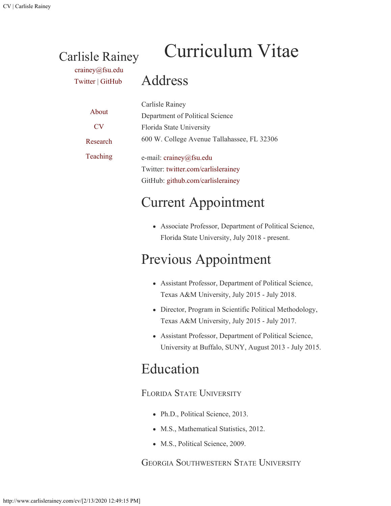# Curriculum Vitae

[crainey@fsu.edu](mailto:crainey@fsu.edu) [Twitter](https://twitter.com/carlislerainey) | [GitHub](https://github.com/carlislerainey)

Carlisle Rainey

Address

| About          | Carlisle Rainey                             |
|----------------|---------------------------------------------|
|                | Department of Political Science             |
| CV <sub></sub> | Florida State University                    |
| Research       | 600 W. College Avenue Tallahassee, FL 32306 |
| Teaching       | e-mail: $crainey@fsu.edu$                   |
|                | Twitter: twitter.com/carlislerainey         |
|                | GitHub: github.com/carlislerainey           |

## Current Appointment

Associate Professor, Department of Political Science, Florida State University, July 2018 - present.

## Previous Appointment

- Assistant Professor, Department of Political Science, Texas A&M University, July 2015 - July 2018.
- Director, Program in Scientific Political Methodology, Texas A&M University, July 2015 - July 2017.
- Assistant Professor, Department of Political Science, University at Buffalo, SUNY, August 2013 - July 2015.

## Education

### FLORIDA STATE UNIVERSITY

- Ph.D., Political Science, 2013.
- M.S., Mathematical Statistics, 2012.
- M.S., Political Science, 2009.

### GEORGIA SOUTHWESTERN STATE UNIVERSITY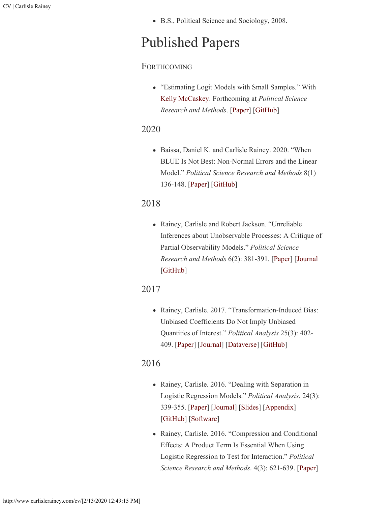B.S., Political Science and Sociology, 2008.

## Published Papers

### **FORTHCOMING**

"Estimating Logit Models with Small Samples." With [Kelly McCaskey.](http://www.kellymccaskey.com/) Forthcoming at *Political Science Research and Methods*. [\[Paper](http://www.carlislerainey.com/papers/small.pdf)] [\[GitHub](https://github.com/kellymccaskey/small)]

### 2020

Baissa, Daniel K. and Carlisle Rainey. 2020. "When BLUE Is Not Best: Non-Normal Errors and the Linear Model." *Political Science Research and Methods* 8(1) 136-148. [\[Paper\]](http://www.carlislerainey.com/papers/heavy-tails.pdf) [\[GitHub](https://github.com/carlislerainey/heavy-tails)]

### 2018

Rainey, Carlisle and Robert Jackson. "Unreliable Inferences about Unobservable Processes: A Critique of Partial Observability Models." *Political Science Research and Methods* 6(2): 381-391. [[Paper\]](http://www.carlislerainey.com/papers/unreliable.pdf) [[Journal](https://www.cambridge.org/core/journals/political-science-research-and-methods/article/unreliable-inferences-about-unobserved-processes-a-critique-of-partial-observability-models/E6BAEE370786F2238238B0EABBE4C224) [\[GitHub\]](https://github.com/carlislerainey/Unreliable)

### 2017

• Rainey, Carlisle. 2017. "Transformation-Induced Bias: Unbiased Coefficients Do Not Imply Unbiased Quantities of Interest." *Political Analysis* 25(3): 402- 409. [\[Paper](http://www.carlislerainey.com/papers/bias.pdf)] [\[Journal](https://www.cambridge.org/core/journals/political-analysis/article/transformationinduced-bias-unbiased-coefficients-do-not-imply-unbiased-quantities-of-interest/03D30CD9B8851C67717B8782D8BDC122)] [\[Dataverse](https://dataverse.harvard.edu/dataset.xhtml?persistentId=doi:10.7910/DVN/CYXFB8)] [\[GitHub](https://github.com/carlislerainey/transformation-induced-bias)]

### 2016

- Rainey, Carlisle. 2016. "Dealing with Separation in Logistic Regression Models." *Political Analysis*. 24(3): 339-355. [\[Paper\]](http://www.carlislerainey.com/papers/separation.pdf) [\[Journal](http://pan.oxfordjournals.org/content/24/3/339.abstract)] [[Slides](http://www.carlislerainey.com/papers/separation-presentation-10min.pdf)] [\[Appendix](http://www.carlislerainey.com/papers/separation-appendix.pdf)] [\[GitHub\]](https://github.com/carlislerainey/priors-for-separation) [\[Software\]](https://github.com/carlislerainey/separation)
- Rainey, Carlisle. 2016. "Compression and Conditional Effects: A Product Term Is Essential When Using Logistic Regression to Test for Interaction." *Political Science Research and Methods*. 4(3): 621-639. [\[Paper](http://www.carlislerainey.com/papers/compress.pdf)]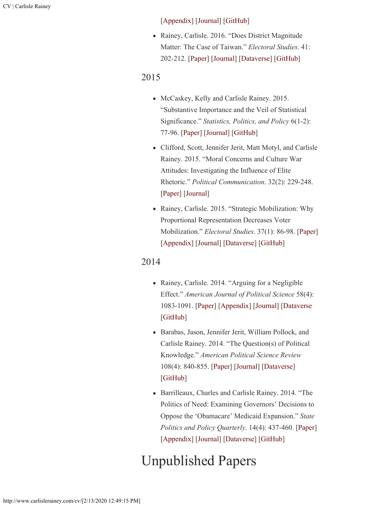#### [\[Appendix](http://www.carlislerainey.com/papers/compress-appendix.pdf)] [\[Journal](http://journals.cambridge.org/action/displayAbstract?fromPage=online&aid=10047140&fulltextType=RA&fileId=S204984701500059X)] [\[GitHub](https://github.com/carlislerainey/compress)]

Rainey, Carlisle. 2016. "Does District Magnitude Matter: The Case of Taiwan." *Electoral Studies*. 41: 202-212. [\[Paper\]](http://www.carlislerainey.com/papers/taiwan.pdf) [\[Journal](http://dx.doi.org/10.1016/j.electstud.2015.08.009)] [[Dataverse](http://dx.doi.org/10.7910/DVN/FMLYTY)] [\[GitHub](https://github.com/carlislerainey/taiwan)]

### 2015

- McCaskey, Kelly and Carlisle Rainey. 2015. "Substantive Importance and the Veil of Statistical Significance." *Statistics, Politics, and Policy* 6(1-2): 77-96. [\[Paper\]](http://www.carlislerainey.com/papers/meaningful.pdf) [\[Journal](http://www.degruyter.com/view/j/spp.2015.6.issue-1-2/spp-2015-0001/spp-2015-0001.xml?format=INT)] [\[GitHub](https://github.com/carlislerainey/meaningful-inferences)]
- Clifford, Scott, Jennifer Jerit, Matt Motyl, and Carlisle Rainey. 2015. "Moral Concerns and Culture War Attitudes: Investigating the Influence of Elite Rhetoric." *Political Communication*. 32(2): 229-248. [\[Paper\]](http://www.carlislerainey.com/papers/rhetoric.pdf) [\[Journal](http://www.tandfonline.com/doi/full/10.1080/10584609.2014.944320)]
- Rainey, Carlisle. 2015. "Strategic Mobilization: Why Proportional Representation Decreases Voter Mobilization." *Electoral Studies*. 37(1): 86-98. [\[Paper](http://www.carlislerainey.com/papers/stratmob.pdf)] [\[Appendix](http://www.carlislerainey.com/papers/stratmob-appendix.pdf)] [\[Journal](http://www.sciencedirect.com/science/article/pii/S0261379414001188)] [\[Dataverse](http://dx.doi.org/10.7910/DVN/27666)] [\[GitHub](https://github.com/carlislerainey/strategic-mobilization)]

### 2014

- Rainey, Carlisle. 2014. "Arguing for a Negligible Effect." *American Journal of Political Science* 58(4): 1083-1091. [\[Paper](http://www.carlislerainey.com/papers/nme.pdf)] [\[Appendix](http://www.carlislerainey.com/papers/nme-appendix.pdf)] [\[Journal](http://onlinelibrary.wiley.com/doi/10.1111/ajps.12102/abstract)] [[Dataverse](http://thedata.harvard.edu/dvn/dv/carlislerainey/faces/study/StudyPage.xhtml?globalId=doi:10.7910/DVN/23818&studyListingIndex=6_1a4e5447db4fa6b0a5266b022dff]) [\[GitHub\]](https://github.com/carlislerainey/NME)
- Barabas, Jason, Jennifer Jerit, William Pollock, and Carlisle Rainey. 2014. "The Question(s) of Political Knowledge." *American Political Science Review* 108(4): 840-855. [\[Paper\]](http://www.carlislerainey.com/papers/quadrants.pdf) [\[Journal](http://dx.doi.org/10.1017/S0003055414000392)] [[Dataverse](http://dx.doi.org/10.7910/DVN/27572)] [\[GitHub\]](https://github.com/carlislerainey/Quadrants)
- Barrilleaux, Charles and Carlisle Rainey. 2014. "The Politics of Need: Examining Governors' Decisions to Oppose the 'Obamacare' Medicaid Expansion." *State Politics and Policy Quarterly*. 14(4): 437-460. [\[Paper\]](http://www.carlislerainey.com/papers/need.pdf) [\[Appendix](http://www.carlislerainey.com/papers/need-appendix.pdf)] [\[Journal](http://spa.sagepub.com/content/14/4/437.abstract)] [\[Dataverse](http://dx.doi.org/10.15139/S3/12130)] [\[GitHub](https://github.com/carlislerainey/Need)]

## Unpublished Papers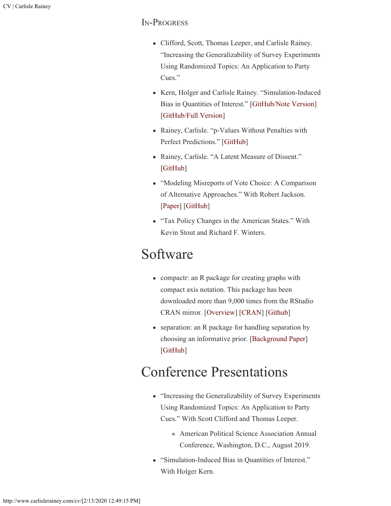### In-Progress

- Clifford, Scott, Thomas Leeper, and Carlisle Rainey. "Increasing the Generalizability of Survey Experiments Using Randomized Topics: An Application to Party Cues."
- Kern, Holger and Carlisle Rainey. "Simulation-Induced Bias in Quantities of Interest." [\[GitHub/Note Version](https://github.com/carlislerainey/unnecessary/blob/reduce-to-note/doc/unnecessary.pdf)] [\[GitHub/Full Version](https://github.com/carlislerainey/unnecessary/blob/master/doc/unnecessary.pdf)]
- Rainey, Carlisle. "p-Values Without Penalties with Perfect Predictions." [\[GitHub\]](https://github.com/carlislerainey/wilks/)
- Rainey, Carlisle. "A Latent Measure of Dissent." [\[GitHub\]](https://github.com/carlislerainey/latent-dissent/)
- "Modeling Misreports of Vote Choice: A Comparison of Alternative Approaches." With Robert Jackson. [\[Paper\]](http://www.carlislerainey.com/papers/misreports.pdf) [\[GitHub\]](https://github.com/carlislerainey/misreports)
- "Tax Policy Changes in the American States." With Kevin Stout and Richard F. Winters.

### Software

- compactr: an R package for creating graphs with compact axis notation. This package has been downloaded more than 9,000 times from the RStudio CRAN mirror. [[Overview](http://www.carlislerainey.com/compactr/)] [\[CRAN](http://cran.r-project.org/web/packages/compactr/index.html)] [[Github](ttps://github.com/carlislerainey/compactr)]
- separation: an R package for handling separation by choosing an informative prior. [[Background Paper](http://www.carlislerainey.com/papers/separation.pdf)] [\[GitHub\]](https://github.com/carlislerainey/separation)

## Conference Presentations

- "Increasing the Generalizability of Survey Experiments Using Randomized Topics: An Application to Party Cues." With Scott Clifford and Thomas Leeper.
	- American Political Science Association Annual Conference, Washington, D.C., August 2019.
- "Simulation-Induced Bias in Quantities of Interest." With Holger Kern.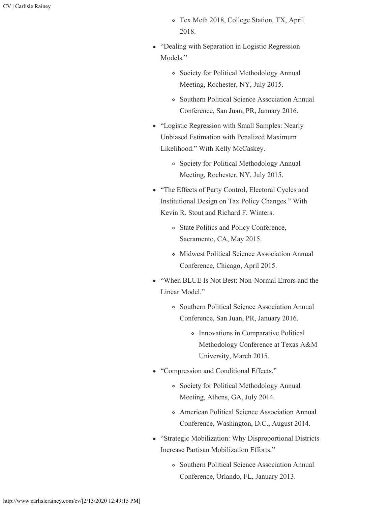- Tex Meth 2018, College Station, TX, April 2018.
- "Dealing with Separation in Logistic Regression Models."
	- Society for Political Methodology Annual Meeting, Rochester, NY, July 2015.
	- Southern Political Science Association Annual Conference, San Juan, PR, January 2016.
- "Logistic Regression with Small Samples: Nearly Unbiased Estimation with Penalized Maximum Likelihood." With Kelly McCaskey.
	- Society for Political Methodology Annual Meeting, Rochester, NY, July 2015.
- "The Effects of Party Control, Electoral Cycles and Institutional Design on Tax Policy Changes." With Kevin R. Stout and Richard F. Winters.
	- State Politics and Policy Conference, Sacramento, CA, May 2015.
	- Midwest Political Science Association Annual Conference, Chicago, April 2015.
- "When BLUE Is Not Best: Non-Normal Errors and the Linear Model."
	- Southern Political Science Association Annual Conference, San Juan, PR, January 2016.
		- Innovations in Comparative Political Methodology Conference at Texas A&M University, March 2015.
- "Compression and Conditional Effects."
	- Society for Political Methodology Annual Meeting, Athens, GA, July 2014.
	- American Political Science Association Annual Conference, Washington, D.C., August 2014.
- "Strategic Mobilization: Why Disproportional Districts Increase Partisan Mobilization Efforts."
	- Southern Political Science Association Annual Conference, Orlando, FL, January 2013.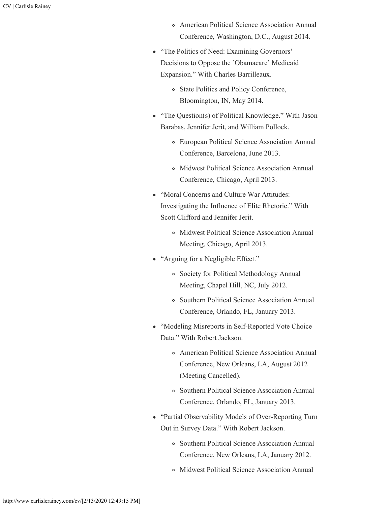- American Political Science Association Annual Conference, Washington, D.C., August 2014.
- "The Politics of Need: Examining Governors' Decisions to Oppose the `Obamacare' Medicaid Expansion." With Charles Barrilleaux.
	- State Politics and Policy Conference, Bloomington, IN, May 2014.
- "The Question(s) of Political Knowledge." With Jason Barabas, Jennifer Jerit, and William Pollock.
	- European Political Science Association Annual Conference, Barcelona, June 2013.
	- Midwest Political Science Association Annual Conference, Chicago, April 2013.
- "Moral Concerns and Culture War Attitudes: Investigating the Influence of Elite Rhetoric." With Scott Clifford and Jennifer Jerit.
	- Midwest Political Science Association Annual Meeting, Chicago, April 2013.
- "Arguing for a Negligible Effect."
	- Society for Political Methodology Annual Meeting, Chapel Hill, NC, July 2012.
	- Southern Political Science Association Annual Conference, Orlando, FL, January 2013.
- "Modeling Misreports in Self-Reported Vote Choice Data." With Robert Jackson.
	- American Political Science Association Annual Conference, New Orleans, LA, August 2012 (Meeting Cancelled).
	- Southern Political Science Association Annual Conference, Orlando, FL, January 2013.
- "Partial Observability Models of Over-Reporting Turn Out in Survey Data." With Robert Jackson.
	- Southern Political Science Association Annual Conference, New Orleans, LA, January 2012.
	- Midwest Political Science Association Annual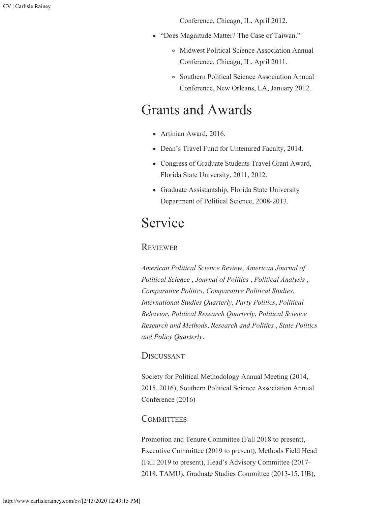Conference, Chicago, IL, April 2012.

- "Does Magnitude Matter? The Case of Taiwan."
	- Midwest Political Science Association Annual Conference, Chicago, IL, April 2011.
	- Southern Political Science Association Annual Conference, New Orleans, LA, January 2012.

### Grants and Awards

- Artinian Award, 2016.
- Dean's Travel Fund for Untenured Faculty, 2014.
- Congress of Graduate Students Travel Grant Award, Florida State University, 2011, 2012.
- Graduate Assistantship, Florida State University Department of Political Science, 2008-2013.

### Service

#### **REVIEWER**

*American Political Science Review*, *American Journal of Political Science* , *Journal of Politics* , *Political Analysis* , *Comparative Politics*, *Comparative Political Studies*, *International Studies Quarterly*, *Party Politics*, *Political Behavior*, *Political Research Quarterly*, *Political Science Research and Methods*, *Research and Politics* , *State Politics and Policy Quarterly*.

#### **DISCUSSANT**

Society for Political Methodology Annual Meeting (2014, 2015, 2016), Southern Political Science Association Annual Conference (2016)

#### **COMMITTEES**

Promotion and Tenure Committee (Fall 2018 to present), Executive Committee (2019 to present), Methods Field Head (Fall 2019 to present), Head's Advisory Committee (2017- 2018, TAMU), Graduate Studies Committee (2013-15, UB),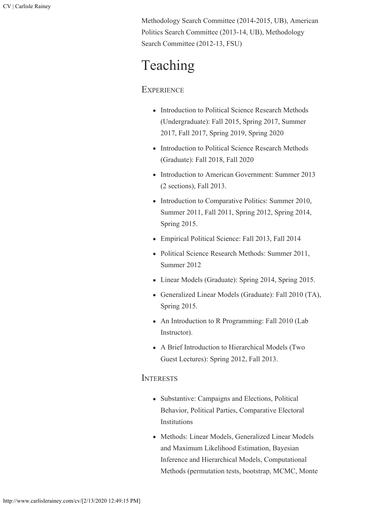Methodology Search Committee (2014-2015, UB), American Politics Search Committee (2013-14, UB), Methodology Search Committee (2012-13, FSU)

## Teaching

### **EXPERIENCE**

- Introduction to Political Science Research Methods (Undergraduate): Fall 2015, Spring 2017, Summer 2017, Fall 2017, Spring 2019, Spring 2020
- Introduction to Political Science Research Methods (Graduate): Fall 2018, Fall 2020
- Introduction to American Government: Summer 2013 (2 sections), Fall 2013.
- Introduction to Comparative Politics: Summer 2010, Summer 2011, Fall 2011, Spring 2012, Spring 2014, Spring 2015.
- Empirical Political Science: Fall 2013, Fall 2014
- Political Science Research Methods: Summer 2011, Summer 2012
- Linear Models (Graduate): Spring 2014, Spring 2015.
- Generalized Linear Models (Graduate): Fall 2010 (TA), Spring 2015.
- An Introduction to R Programming: Fall 2010 (Lab Instructor).
- A Brief Introduction to Hierarchical Models (Two Guest Lectures): Spring 2012, Fall 2013.

#### **INTERESTS**

- Substantive: Campaigns and Elections, Political Behavior, Political Parties, Comparative Electoral Institutions
- Methods: Linear Models, Generalized Linear Models and Maximum Likelihood Estimation, Bayesian Inference and Hierarchical Models, Computational Methods (permutation tests, bootstrap, MCMC, Monte